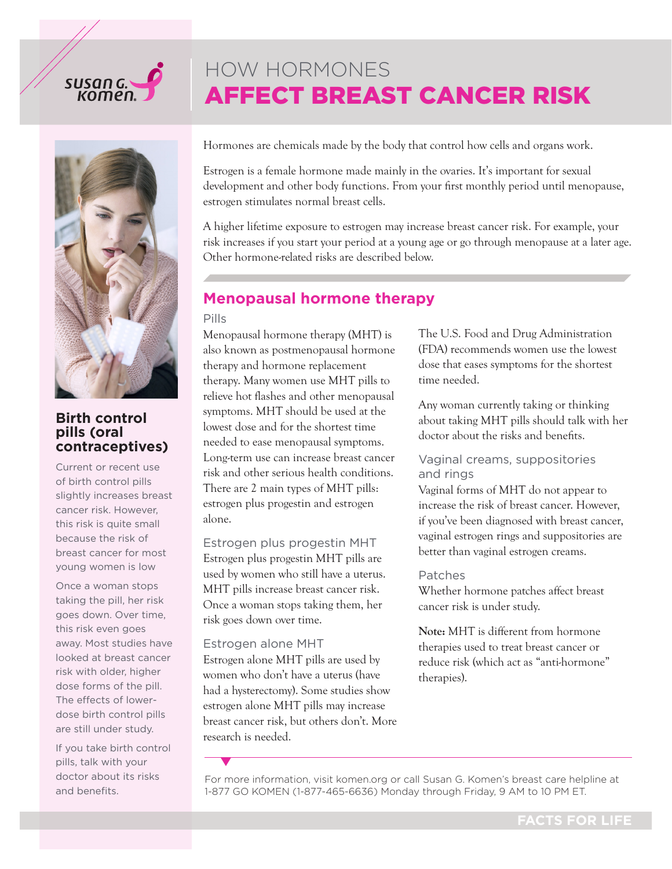# susan G.



## **Birth control pills (oral contraceptives)**

Current or recent use of birth control pills slightly increases breast cancer risk. However, this risk is quite small because the risk of breast cancer for most young women is low

Once a woman stops taking the pill, her risk goes down. Over time, this risk even goes away. Most studies have looked at breast cancer risk with older, higher dose forms of the pill. The effects of lowerdose birth control pills are still under study.

If you take birth control pills, talk with your doctor about its risks and benefits.

Hormones are chemicals made by the body that control how cells and organs work.

AFFECT BREAST CANCER RISK

Estrogen is a female hormone made mainly in the ovaries. It's important for sexual development and other body functions. From your first monthly period until menopause, estrogen stimulates normal breast cells.

A higher lifetime exposure to estrogen may increase breast cancer risk. For example, your risk increases if you start your period at a young age or go through menopause at a later age. Other hormone-related risks are described below.

# **Menopausal hormone therapy**

HOW HORMONES

#### Pills

Menopausal hormone therapy (MHT) is also known as postmenopausal hormone therapy and hormone replacement therapy. Many women use MHT pills to relieve hot flashes and other menopausal symptoms. MHT should be used at the lowest dose and for the shortest time needed to ease menopausal symptoms. Long-term use can increase breast cancer risk and other serious health conditions. There are 2 main types of MHT pills: estrogen plus progestin and estrogen alone.

#### Estrogen plus progestin MHT

Estrogen plus progestin MHT pills are used by women who still have a uterus. MHT pills increase breast cancer risk. Once a woman stops taking them, her risk goes down over time.

#### Estrogen alone MHT

Estrogen alone MHT pills are used by women who don't have a uterus (have had a hysterectomy). Some studies show estrogen alone MHT pills may increase breast cancer risk, but others don't. More research is needed.

The U.S. Food and Drug Administration (FDA) recommends women use the lowest dose that eases symptoms for the shortest time needed.

Any woman currently taking or thinking about taking MHT pills should talk with her doctor about the risks and benefits.

#### Vaginal creams, suppositories and rings

Vaginal forms of MHT do not appear to increase the risk of breast cancer. However, if you've been diagnosed with breast cancer, vaginal estrogen rings and suppositories are better than vaginal estrogen creams.

#### Patches

Whether hormone patches affect breast cancer risk is under study.

**Note:** MHT is different from hormone therapies used to treat breast cancer or reduce risk (which act as "anti-hormone" therapies).

For more information, visit [komen.org](https://ww5.komen.org) or call Susan G. Komen's breast care helpline at 1-877 GO KOMEN (1-877-465-6636) Monday through Friday, 9 AM to 10 PM ET.